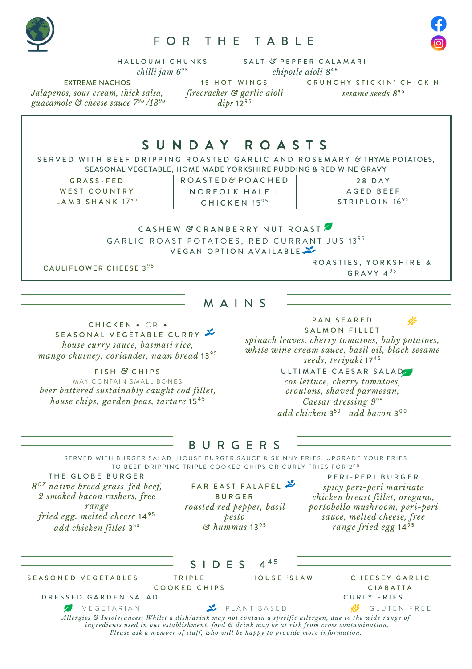

# FOR THE TABLE



HALLOUMI CHUNKS SALT *&* PEPPER CALAMARI *chilli jam 6*<sup>95</sup> *chipotle aioli*  $8^{45}$ 

*Jalapenos, sour cream, thick salsa, guacamole & cheese sauce 795 /1395* *firecracker & garlic aioli*  dips  $12^{95}$ 

EXTREME NACHOS 15 HOT - WINGS CRUNCHY STICKIN' CHICK'N sesame seeds 8<sup>95</sup>

S U N D A Y R O A S T S SERVED WITH BEEF DRIPPING ROASTED GARLIC AND ROSEMARY *&* THYME POTATOES, SEASONAL VEGETABLE, HOME MADE YORKSHIRE PUDDING & RED WINE GRAVY GRASS - FED WEST COUNTRY LAMB SHANK  $17<sup>95</sup>$ ROASTED *&* POACHED NORFOLK HALF – CHICKEN  $15^{95}$ 28 DAY AGED BEEF STRIPLOIN 1695 CASHEW & CRANBERRY NUT ROAST GARLIC ROAST POTATOES, RED CURRANT JUS 1395 VEGAN OPTION AVAILABLE

M A I N S

CAULIFLOWER CHEESE 3<sup>95</sup> CAULIFLOWER CHEESE 3<sup>95</sup> GRAVY  $4^{95}$ 

CHICKEN • OR • SEASONAL VEGETABLE CURRY *house curry sauce, basmati rice,* mango chutney, coriander, naan bread 1395

FISH *&* CHIPS MAY CONTAIN SMALL BONES *beer battered sustainably caught cod fillet, house chips, garden peas, tartare* 15<sup>45</sup>

PAN SEARED

SALMON FILLET *spinach leaves, cherry tomatoes, baby potatoes, white wine cream sauce, basil oil, black sesame*  seeds, teriyaki 17<sup>45</sup>

#### ULTIMATE CAESAR SALAD *cos lettuce, cherry tomatoes, croutons, shaved parmesan, Caesar dressing 9*<sup>95</sup> *add chicken* 3<sup>50</sup> *add bacon* 3 <sup>0</sup> <sup>0</sup>

## B U R G E R S

SERVED WITH BURGER SALAD, HOUSE BURGER SAUCE & SKINNY FRIES. UPGRADE YOUR FRIES TO BEEF DRIPPING TRIPLE COOKED CHIPS OR CURLY FRIES FOR 200

THE GLOBE BURGER *8OZ native breed grass-fed beef, 2 smoked bacon rashers, free range fried egg, melted cheese* 14<sup>95</sup> *add chicken fillet* 3<sup>50</sup>

FAR EAST FALAFEL BURGER *roasted red pepper, basil pesto*  $&$  *hummus* 13<sup>95</sup>

PERI - PERI BURGER *spicy peri-peri marinate chicken breast fillet, oregano, portobello mushroom, peri-peri sauce, melted cheese, free range fried egg* 14<sup>95</sup>

|                                                                                                             | SIDES         | $\Delta^{45}$                                                                                                                                                                |                 |
|-------------------------------------------------------------------------------------------------------------|---------------|------------------------------------------------------------------------------------------------------------------------------------------------------------------------------|-----------------|
| SEASONED VEGETABLES                                                                                         | <b>TRIPLE</b> | HOUSE 'SLAW                                                                                                                                                                  | CHEESEY GARLIC  |
| COOKED CHIPS                                                                                                |               |                                                                                                                                                                              | <b>CIABATTA</b> |
| DRESSED GARDEN SALAD                                                                                        |               |                                                                                                                                                                              | CURLY FRIES     |
| VEGETARIAN                                                                                                  |               | PLANT BASED                                                                                                                                                                  | GLUTEN FREE     |
| Allergies & Intolerances: Whilst a dish/drink may not contain a specific allergen, due to the wide range of |               | ingredients used in our establishment, food & drink may be at risk from cross contamination.<br>Please ask a member of staff, who will be happy to provide more information. |                 |